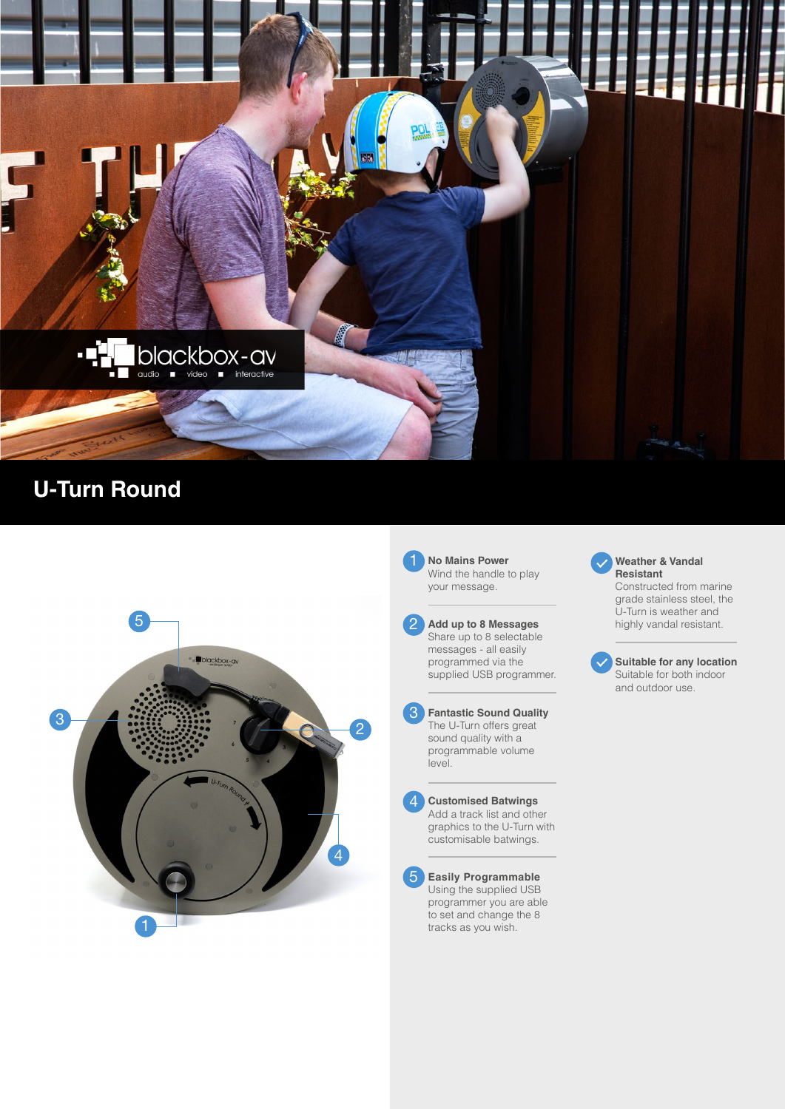

## **U-Turn Round**



1 **No Mains Power** Wind the handle to play your message.

**Add up to 8 Messages** Share up to 8 selectable messages - all easily programmed via the supplied USB programmer.



 $\begin{array}{c} 1 \\ 2 \\ 3 \end{array}$ 

 $\boldsymbol{\varDelta}$ 

2

level.



customisable batwings.

**Easily Programmable** Using the supplied USB programmer you are able to set and change the 8 tracks as you wish.